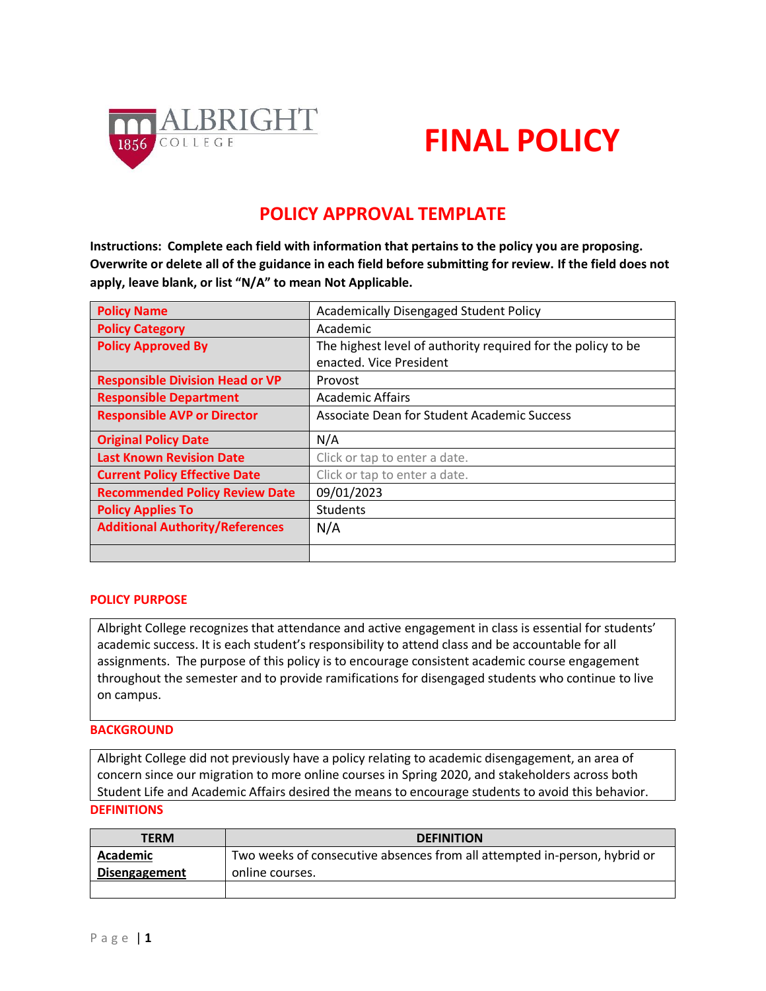

# **FINAL POLICY**

## **POLICY APPROVAL TEMPLATE**

**Instructions: Complete each field with information that pertains to the policy you are proposing. Overwrite or delete all of the guidance in each field before submitting for review. If the field does not apply, leave blank, or list "N/A" to mean Not Applicable.**

| <b>Policy Name</b>                     | <b>Academically Disengaged Student Policy</b>                |  |  |
|----------------------------------------|--------------------------------------------------------------|--|--|
| <b>Policy Category</b>                 | Academic                                                     |  |  |
| <b>Policy Approved By</b>              | The highest level of authority required for the policy to be |  |  |
|                                        | enacted. Vice President                                      |  |  |
| <b>Responsible Division Head or VP</b> | Provost                                                      |  |  |
| <b>Responsible Department</b>          | <b>Academic Affairs</b>                                      |  |  |
| <b>Responsible AVP or Director</b>     | Associate Dean for Student Academic Success                  |  |  |
|                                        |                                                              |  |  |
| <b>Original Policy Date</b>            | N/A                                                          |  |  |
| <b>Last Known Revision Date</b>        | Click or tap to enter a date.                                |  |  |
| <b>Current Policy Effective Date</b>   | Click or tap to enter a date.                                |  |  |
| <b>Recommended Policy Review Date</b>  | 09/01/2023                                                   |  |  |
| <b>Policy Applies To</b>               | <b>Students</b>                                              |  |  |
| <b>Additional Authority/References</b> | N/A                                                          |  |  |

### **POLICY PURPOSE**

Albright College recognizes that attendance and active engagement in class is essential for students' academic success. It is each student's responsibility to attend class and be accountable for all assignments. The purpose of this policy is to encourage consistent academic course engagement throughout the semester and to provide ramifications for disengaged students who continue to live on campus.

### **BACKGROUND**

Albright College did not previously have a policy relating to academic disengagement, an area of concern since our migration to more online courses in Spring 2020, and stakeholders across both Student Life and Academic Affairs desired the means to encourage students to avoid this behavior. **DEFINITIONS**

| <b>TERM</b>          | <b>DEFINITION</b>                                                         |
|----------------------|---------------------------------------------------------------------------|
| Academic             | Two weeks of consecutive absences from all attempted in-person, hybrid or |
| <b>Disengagement</b> | online courses.                                                           |
|                      |                                                                           |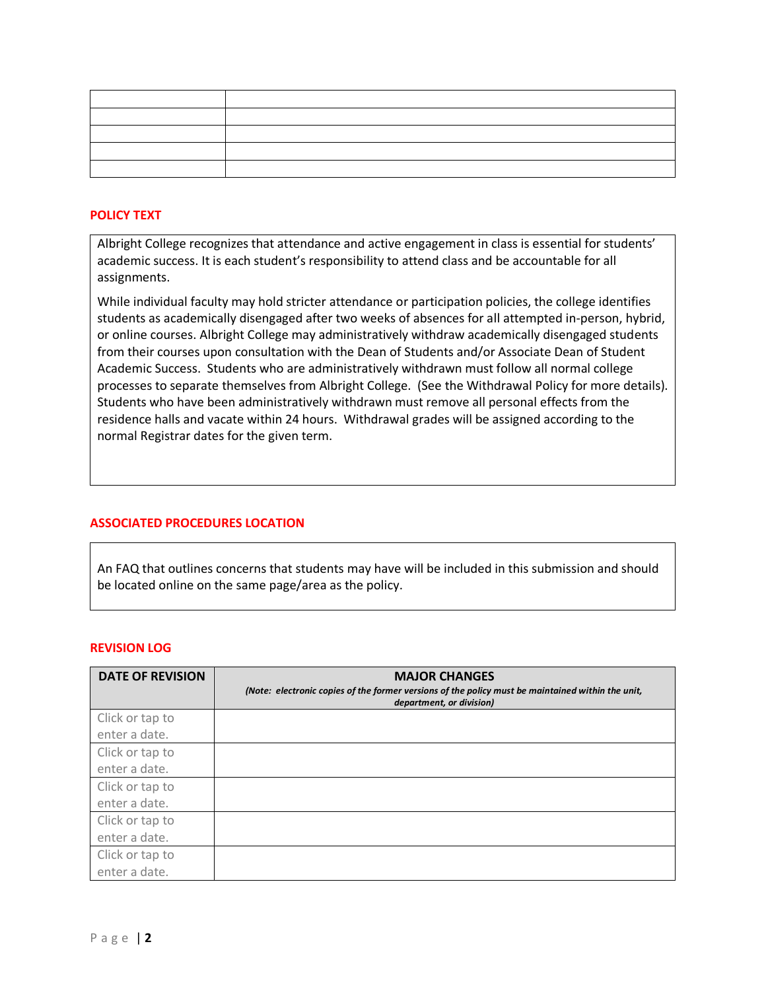### **POLICY TEXT**

Albright College recognizes that attendance and active engagement in class is essential for students' academic success. It is each student's responsibility to attend class and be accountable for all assignments.

While individual faculty may hold stricter attendance or participation policies, the college identifies students as academically disengaged after two weeks of absences for all attempted in-person, hybrid, or online courses. Albright College may administratively withdraw academically disengaged students from their courses upon consultation with the Dean of Students and/or Associate Dean of Student Academic Success. Students who are administratively withdrawn must follow all normal college processes to separate themselves from Albright College. (See the Withdrawal Policy for more details). Students who have been administratively withdrawn must remove all personal effects from the residence halls and vacate within 24 hours. Withdrawal grades will be assigned according to the normal Registrar dates for the given term.

### **ASSOCIATED PROCEDURES LOCATION**

An FAQ that outlines concerns that students may have will be included in this submission and should be located online on the same page/area as the policy.

#### **REVISION LOG**

| <b>DATE OF REVISION</b> | <b>MAJOR CHANGES</b><br>(Note: electronic copies of the former versions of the policy must be maintained within the unit,<br>department, or division) |
|-------------------------|-------------------------------------------------------------------------------------------------------------------------------------------------------|
| Click or tap to         |                                                                                                                                                       |
| enter a date.           |                                                                                                                                                       |
| Click or tap to         |                                                                                                                                                       |
| enter a date.           |                                                                                                                                                       |
| Click or tap to         |                                                                                                                                                       |
| enter a date.           |                                                                                                                                                       |
| Click or tap to         |                                                                                                                                                       |
| enter a date.           |                                                                                                                                                       |
| Click or tap to         |                                                                                                                                                       |
| enter a date.           |                                                                                                                                                       |